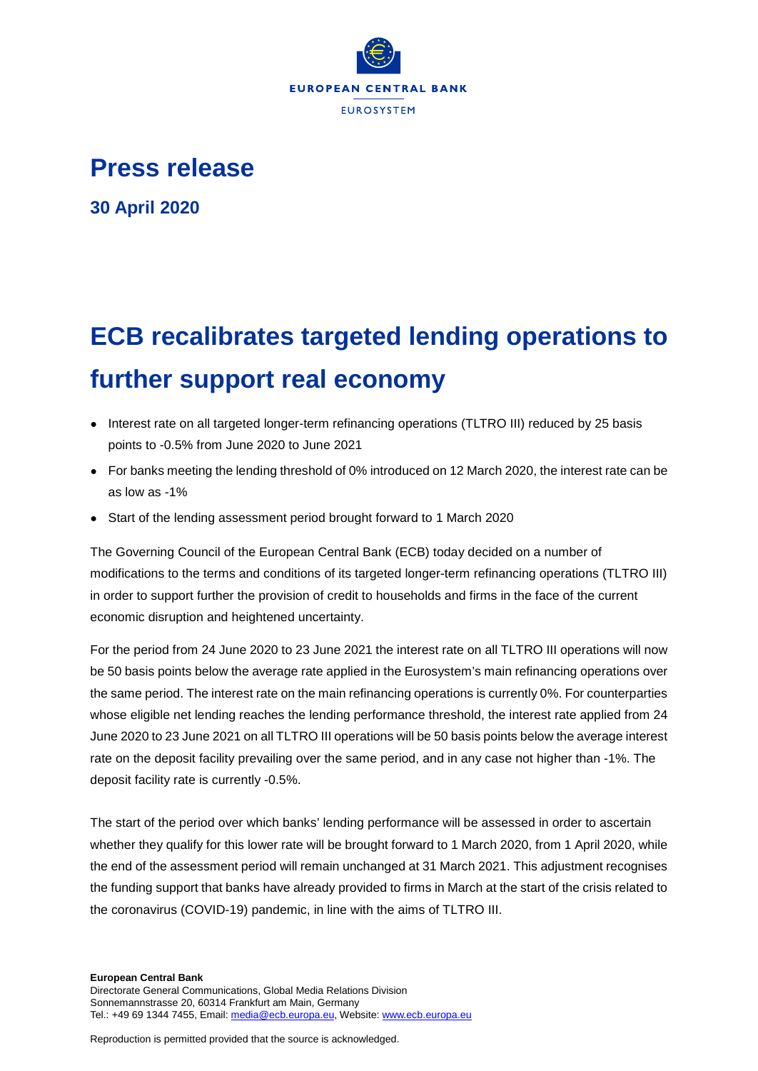

## **Press release**

**30 April 2020**

## **ECB recalibrates targeted lending operations to further support real economy**

- Interest rate on all targeted longer-term refinancing operations (TLTRO III) reduced by 25 basis points to -0.5% from June 2020 to June 2021
- For banks meeting the lending threshold of 0% introduced on 12 March 2020, the interest rate can be as low as -1%
- Start of the lending assessment period brought forward to 1 March 2020

The Governing Council of the European Central Bank (ECB) today decided on a number of modifications to the terms and conditions of its targeted longer-term refinancing operations (TLTRO III) in order to support further the provision of credit to households and firms in the face of the current economic disruption and heightened uncertainty.

For the period from 24 June 2020 to 23 June 2021 the interest rate on all TLTRO III operations will now be 50 basis points below the average rate applied in the Eurosystem's main refinancing operations over the same period. The interest rate on the main refinancing operations is currently 0%. For counterparties whose eligible net lending reaches the lending performance threshold, the interest rate applied from 24 June 2020 to 23 June 2021 on all TLTRO III operations will be 50 basis points below the average interest rate on the deposit facility prevailing over the same period, and in any case not higher than -1%. The deposit facility rate is currently -0.5%.

The start of the period over which banks' lending performance will be assessed in order to ascertain whether they qualify for this lower rate will be brought forward to 1 March 2020, from 1 April 2020, while the end of the assessment period will remain unchanged at 31 March 2021. This adjustment recognises the funding support that banks have already provided to firms in March at the start of the crisis related to the coronavirus (COVID-19) pandemic, in line with the aims of TLTRO III.